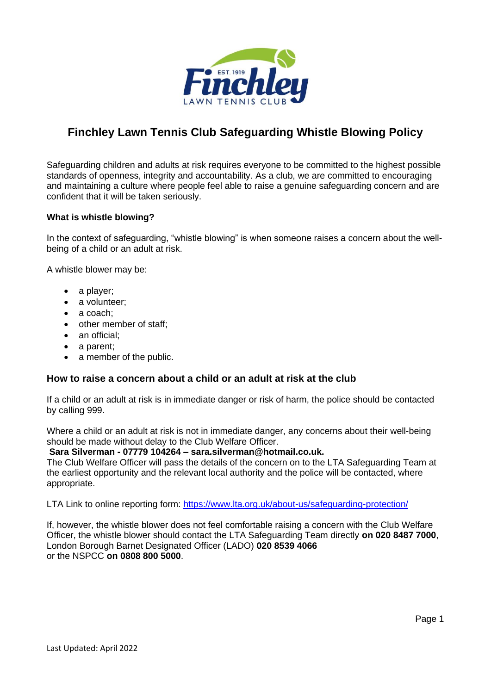

# **Finchley Lawn Tennis Club Safeguarding Whistle Blowing Policy**

Safeguarding children and adults at risk requires everyone to be committed to the highest possible standards of openness, integrity and accountability. As a club, we are committed to encouraging and maintaining a culture where people feel able to raise a genuine safeguarding concern and are confident that it will be taken seriously.

## **What is whistle blowing?**

In the context of safeguarding, "whistle blowing" is when someone raises a concern about the wellbeing of a child or an adult at risk.

A whistle blower may be:

- a player;
- a volunteer;
- a coach:
- other member of staff;
- an official:
- a parent;
- a member of the public.

## **How to raise a concern about a child or an adult at risk at the club**

If a child or an adult at risk is in immediate danger or risk of harm, the police should be contacted by calling 999.

Where a child or an adult at risk is not in immediate danger, any concerns about their well-being should be made without delay to the Club Welfare Officer.

#### **Sara Silverman - 07779 104264 – sara.silverman@hotmail.co.uk.**

The Club Welfare Officer will pass the details of the concern on to the LTA Safeguarding Team at the earliest opportunity and the relevant local authority and the police will be contacted, where appropriate.

LTA Link to online reporting form: [https://www.lta.org.uk/about-us/safeguarding-protection/](file:///C:/Users/Vittorio/Downloads/Fincley%20LTC%20Safeguarding%20Whistleblowing%20Policy%20March%202020.docx)

If, however, the whistle blower does not feel comfortable raising a concern with the Club Welfare Officer, the whistle blower should contact the LTA Safeguarding Team directly **on 020 8487 7000**, London Borough Barnet Designated Officer (LADO) **020 8539 4066** or the NSPCC **on 0808 800 5000**.